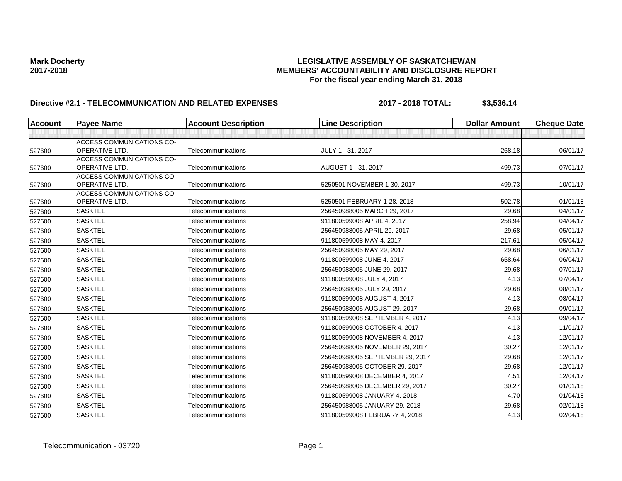# Mark Docherty<br>LEGISLATIVE ASSEMBLY OF SASKATCHEWAN<br>MEMBERS' ACCOUNTABILITY AND DISCLOSURE REF **2017-2018 MEMBERS' ACCOUNTABILITY AND DISCLOSURE REPORT For the fiscal year ending March 31, 2018**

# **Directive #2.1 - TELECOMMUNICATION AND RELATED EXPENSES** 2017 - 2018 TOTAL: \$3,536.14

| <b>Account</b> | <b>Payee Name</b>                           | <b>Account Description</b> | <b>Line Description</b>         | <b>Dollar Amount</b> | <b>Cheque Date</b> |
|----------------|---------------------------------------------|----------------------------|---------------------------------|----------------------|--------------------|
|                |                                             |                            |                                 |                      |                    |
|                | ACCESS COMMUNICATIONS CO-                   |                            |                                 |                      |                    |
| 527600         | OPERATIVE LTD.                              | Telecommunications         | JULY 1 - 31, 2017               | 268.18               | 06/01/17           |
|                | ACCESS COMMUNICATIONS CO-                   |                            |                                 |                      |                    |
| 527600         | OPERATIVE LTD.                              | Telecommunications         | AUGUST 1 - 31, 2017             | 499.73               | 07/01/17           |
| 527600         | ACCESS COMMUNICATIONS CO-<br>OPERATIVE LTD. | Telecommunications         | 5250501 NOVEMBER 1-30, 2017     | 499.73               | 10/01/17           |
|                | <b>ACCESS COMMUNICATIONS CO-</b>            |                            |                                 |                      |                    |
| 527600         | <b>OPERATIVE LTD.</b>                       | Telecommunications         | 5250501 FEBRUARY 1-28, 2018     | 502.78               | 01/01/18           |
| 527600         | <b>SASKTEL</b>                              | Telecommunications         | 256450988005 MARCH 29, 2017     | 29.68                | 04/01/17           |
| 527600         | <b>SASKTEL</b>                              | Telecommunications         | 911800599008 APRIL 4, 2017      | 258.94               | 04/04/17           |
| 527600         | <b>SASKTEL</b>                              | Telecommunications         | 256450988005 APRIL 29, 2017     | 29.68                | 05/01/17           |
| 527600         | <b>SASKTEL</b>                              | Telecommunications         | 911800599008 MAY 4, 2017        | 217.61               | 05/04/17           |
| 527600         | <b>SASKTEL</b>                              | Telecommunications         | 256450988005 MAY 29, 2017       | 29.68                | 06/01/17           |
| 527600         | <b>SASKTEL</b>                              | Telecommunications         | 911800599008 JUNE 4, 2017       | 658.64               | 06/04/17           |
| 527600         | <b>SASKTEL</b>                              | Telecommunications         | 256450988005 JUNE 29, 2017      | 29.68                | 07/01/17           |
| 527600         | <b>SASKTEL</b>                              | Telecommunications         | 911800599008 JULY 4, 2017       | 4.13                 | 07/04/17           |
| 527600         | <b>SASKTEL</b>                              | Telecommunications         | 256450988005 JULY 29, 2017      | 29.68                | 08/01/17           |
| 527600         | <b>SASKTEL</b>                              | Telecommunications         | 911800599008 AUGUST 4, 2017     | 4.13                 | 08/04/17           |
| 527600         | <b>SASKTEL</b>                              | Telecommunications         | 256450988005 AUGUST 29, 2017    | 29.68                | 09/01/17           |
| 527600         | <b>SASKTEL</b>                              | Telecommunications         | 911800599008 SEPTEMBER 4, 2017  | 4.13                 | 09/04/17           |
| 527600         | <b>SASKTEL</b>                              | Telecommunications         | 911800599008 OCTOBER 4, 2017    | 4.13                 | 11/01/17           |
| 527600         | <b>SASKTEL</b>                              | Telecommunications         | 911800599008 NOVEMBER 4, 2017   | 4.13                 | 12/01/17           |
| 527600         | <b>SASKTEL</b>                              | Telecommunications         | 256450988005 NOVEMBER 29, 2017  | 30.27                | 12/01/17           |
| 527600         | <b>SASKTEL</b>                              | Telecommunications         | 256450988005 SEPTEMBER 29, 2017 | 29.68                | 12/01/17           |
| 527600         | <b>SASKTEL</b>                              | Telecommunications         | 256450988005 OCTOBER 29, 2017   | 29.68                | 12/01/17           |
| 527600         | <b>SASKTEL</b>                              | Telecommunications         | 911800599008 DECEMBER 4, 2017   | 4.51                 | 12/04/17           |
| 527600         | <b>SASKTEL</b>                              | Telecommunications         | 256450988005 DECEMBER 29, 2017  | 30.27                | 01/01/18           |
| 527600         | <b>SASKTEL</b>                              | Telecommunications         | 911800599008 JANUARY 4, 2018    | 4.70                 | 01/04/18           |
| 527600         | <b>SASKTEL</b>                              | Telecommunications         | 256450988005 JANUARY 29, 2018   | 29.68                | 02/01/18           |
| 527600         | <b>SASKTEL</b>                              | Telecommunications         | 911800599008 FEBRUARY 4, 2018   | 4.13                 | 02/04/18           |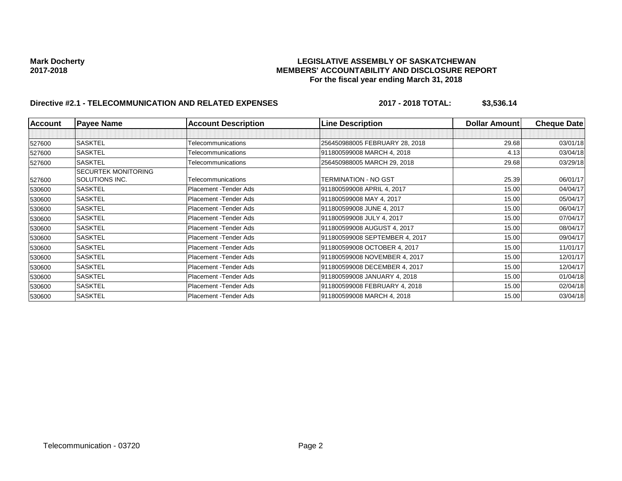# Mark Docherty<br>LEGISLATIVE ASSEMBLY OF SASKATCHEWAN<br>MEMBERS' ACCOUNTABILITY AND DISCLOSURE REF **2017-2018 MEMBERS' ACCOUNTABILITY AND DISCLOSURE REPORT For the fiscal year ending March 31, 2018**

# **Directive #2.1 - TELECOMMUNICATION AND RELATED EXPENSES** 2017 - 2018 TOTAL: \$3,536.14

| <b>Account</b> | <b>Payee Name</b>          | <b>Account Description</b> | <b>Line Description</b>        | <b>Dollar Amountl</b> | <b>Cheque Date</b> |
|----------------|----------------------------|----------------------------|--------------------------------|-----------------------|--------------------|
|                |                            |                            |                                |                       |                    |
| 527600         | <b>SASKTEL</b>             | Telecommunications         | 256450988005 FEBRUARY 28, 2018 | 29.68                 | 03/01/18           |
| 527600         | <b>SASKTEL</b>             | Telecommunications         | 911800599008 MARCH 4, 2018     | 4.13                  | 03/04/18           |
| 527600         | <b>SASKTEL</b>             | Telecommunications         | 256450988005 MARCH 29, 2018    | 29.68                 | 03/29/18           |
|                | <b>SECURTEK MONITORING</b> |                            |                                |                       |                    |
| 527600         | SOLUTIONS INC.             | Telecommunications         | TERMINATION - NO GST           | 25.39                 | 06/01/17           |
| 530600         | <b>SASKTEL</b>             | Placement - Tender Ads     | 911800599008 APRIL 4, 2017     | 15.00                 | 04/04/17           |
| 530600         | <b>SASKTEL</b>             | Placement - Tender Ads     | 911800599008 MAY 4, 2017       | 15.00                 | 05/04/17           |
| 530600         | <b>SASKTEL</b>             | Placement - Tender Ads     | 911800599008 JUNE 4, 2017      | 15.00                 | 06/04/17           |
| 530600         | <b>SASKTEL</b>             | Placement - Tender Ads     | 911800599008 JULY 4, 2017      | 15.00                 | 07/04/17           |
| 530600         | <b>SASKTEL</b>             | Placement - Tender Ads     | 911800599008 AUGUST 4, 2017    | 15.00                 | 08/04/17           |
| 530600         | <b>SASKTEL</b>             | Placement - Tender Ads     | 911800599008 SEPTEMBER 4, 2017 | 15.00                 | 09/04/17           |
| 530600         | <b>SASKTEL</b>             | Placement - Tender Ads     | 911800599008 OCTOBER 4, 2017   | 15.00                 | 11/01/17           |
| 530600         | <b>SASKTEL</b>             | Placement - Tender Ads     | 911800599008 NOVEMBER 4, 2017  | 15.00                 | 12/01/17           |
| 530600         | <b>SASKTEL</b>             | Placement - Tender Ads     | 911800599008 DECEMBER 4, 2017  | 15.00                 | 12/04/17           |
| 530600         | <b>SASKTEL</b>             | Placement - Tender Ads     | 911800599008 JANUARY 4, 2018   | 15.00                 | 01/04/18           |
| 530600         | <b>SASKTEL</b>             | Placement - Tender Ads     | 911800599008 FEBRUARY 4, 2018  | 15.00                 | 02/04/18           |
| 530600         | <b>SASKTEL</b>             | Placement - Tender Ads     | 911800599008 MARCH 4, 2018     | 15.00                 | 03/04/18           |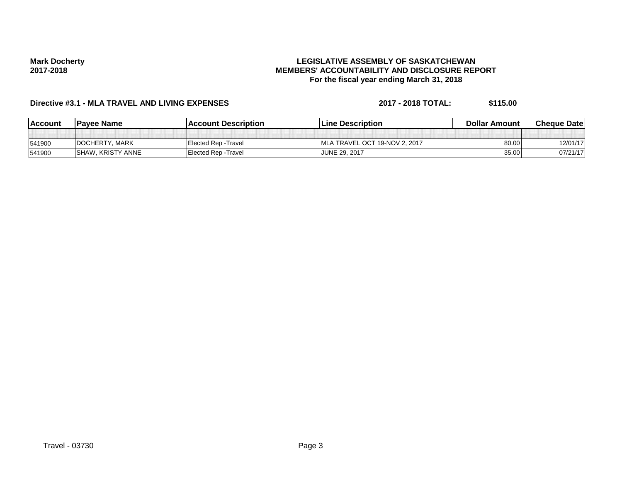## **LEGISLATIVE ASSEMBLY OF SASKATCHEWAN MEMBERS' ACCOUNTABILITY AND DISCLOSURE REPORT For the fiscal year ending March 31, 2018**

# **Directive #3.1 - MLA TRAVEL AND LIVING EXPENSES 2017 - 2018 TOTAL: \$115.00**

| <b>IAccount</b> | <b>Pavee Name</b>         | lAccount Description        | <b>ILine Description</b>       | <b>Dollar Amountl</b> | <b>Cheque Datel</b> |
|-----------------|---------------------------|-----------------------------|--------------------------------|-----------------------|---------------------|
|                 |                           |                             |                                |                       |                     |
| 541900          | DOCHERTY, MARK            | <b>Elected Rep - Travel</b> | IMLA TRAVEL OCT 19-NOV 2, 2017 | 80.00                 | 12/01/17            |
| 541900          | <b>ISHAW, KRISTY ANNE</b> | <b>Elected Rep - Travel</b> | JUNE 29, 2017                  | 35.00                 | 07/21/17            |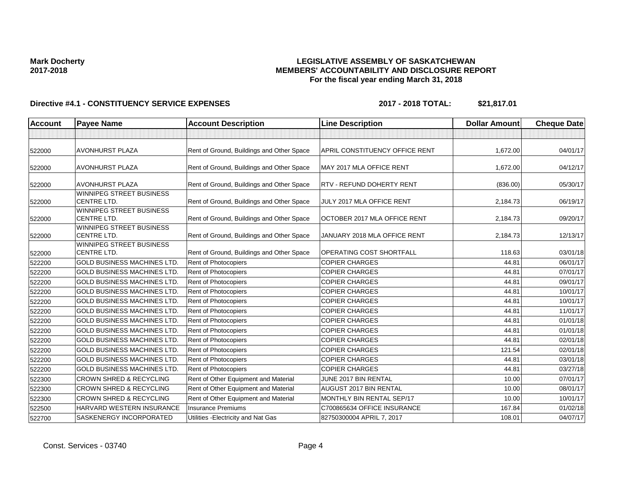## **LEGISLATIVE ASSEMBLY OF SASKATCHEWAN MEMBERS' ACCOUNTABILITY AND DISCLOSURE REPORT For the fiscal year ending March 31, 2018**

| <b>Account</b> | <b>Payee Name</b>                                     | <b>Account Description</b>                | <b>Line Description</b>          | <b>Dollar Amount</b> | <b>Cheque Date</b> |
|----------------|-------------------------------------------------------|-------------------------------------------|----------------------------------|----------------------|--------------------|
|                |                                                       |                                           |                                  |                      |                    |
| 522000         | <b>AVONHURST PLAZA</b>                                | Rent of Ground, Buildings and Other Space | APRIL CONSTITUENCY OFFICE RENT   | 1,672.00             | 04/01/17           |
| 522000         | <b>AVONHURST PLAZA</b>                                | Rent of Ground, Buildings and Other Space | MAY 2017 MLA OFFICE RENT         | 1,672.00             | 04/12/17           |
| 522000         | <b>AVONHURST PLAZA</b>                                | Rent of Ground, Buildings and Other Space | <b>RTV - REFUND DOHERTY RENT</b> | (836.00)             | 05/30/17           |
| 522000         | <b>WINNIPEG STREET BUSINESS</b><br><b>CENTRE LTD.</b> | Rent of Ground, Buildings and Other Space | JULY 2017 MLA OFFICE RENT        | 2,184.73             | 06/19/17           |
| 522000         | WINNIPEG STREET BUSINESS<br><b>CENTRE LTD.</b>        | Rent of Ground, Buildings and Other Space | OCTOBER 2017 MLA OFFICE RENT     | 2,184.73             | 09/20/17           |
| 522000         | WINNIPEG STREET BUSINESS<br><b>CENTRE LTD.</b>        | Rent of Ground, Buildings and Other Space | JANUARY 2018 MLA OFFICE RENT     | 2,184.73             | 12/13/17           |
| 522000         | <b>WINNIPEG STREET BUSINESS</b><br><b>CENTRE LTD.</b> | Rent of Ground, Buildings and Other Space | <b>OPERATING COST SHORTFALL</b>  | 118.63               | 03/01/18           |
| 522200         | <b>GOLD BUSINESS MACHINES LTD</b>                     | Rent of Photocopiers                      | <b>COPIER CHARGES</b>            | 44.81                | 06/01/17           |
| 522200         | <b>GOLD BUSINESS MACHINES LTD.</b>                    | Rent of Photocopiers                      | <b>COPIER CHARGES</b>            | 44.81                | 07/01/17           |
| 522200         | <b>GOLD BUSINESS MACHINES LTD</b>                     | <b>Rent of Photocopiers</b>               | <b>COPIER CHARGES</b>            | 44.81                | 09/01/17           |
| 522200         | <b>GOLD BUSINESS MACHINES LTD.</b>                    | <b>Rent of Photocopiers</b>               | <b>COPIER CHARGES</b>            | 44.81                | 10/01/17           |
| 522200         | <b>GOLD BUSINESS MACHINES LTD</b>                     | Rent of Photocopiers                      | <b>COPIER CHARGES</b>            | 44.81                | 10/01/17           |
| 522200         | <b>GOLD BUSINESS MACHINES LTD</b>                     | Rent of Photocopiers                      | <b>COPIER CHARGES</b>            | 44.81                | 11/01/17           |
| 522200         | <b>GOLD BUSINESS MACHINES LTD.</b>                    | Rent of Photocopiers                      | <b>COPIER CHARGES</b>            | 44.81                | 01/01/18           |
| 522200         | <b>GOLD BUSINESS MACHINES LTD</b>                     | Rent of Photocopiers                      | <b>COPIER CHARGES</b>            | 44.81                | 01/01/18           |
| 522200         | <b>GOLD BUSINESS MACHINES LTD.</b>                    | Rent of Photocopiers                      | <b>COPIER CHARGES</b>            | 44.81                | 02/01/18           |
| 522200         | <b>GOLD BUSINESS MACHINES LTD</b>                     | Rent of Photocopiers                      | <b>COPIER CHARGES</b>            | 121.54               | 02/01/18           |
| 522200         | <b>GOLD BUSINESS MACHINES LTD</b>                     | Rent of Photocopiers                      | <b>COPIER CHARGES</b>            | 44.81                | 03/01/18           |
| 522200         | <b>GOLD BUSINESS MACHINES LTD.</b>                    | <b>Rent of Photocopiers</b>               | <b>COPIER CHARGES</b>            | 44.81                | 03/27/18           |
| 522300         | <b>CROWN SHRED &amp; RECYCLING</b>                    | Rent of Other Equipment and Material      | JUNE 2017 BIN RENTAL             | 10.00                | 07/01/17           |
| 522300         | <b>CROWN SHRED &amp; RECYCLING</b>                    | Rent of Other Equipment and Material      | AUGUST 2017 BIN RENTAL           | 10.00                | 08/01/17           |
| 522300         | <b>CROWN SHRED &amp; RECYCLING</b>                    | Rent of Other Equipment and Material      | MONTHLY BIN RENTAL SEP/17        | 10.00                | 10/01/17           |
| 522500         | HARVARD WESTERN INSURANCE                             | <b>Insurance Premiums</b>                 | C700865634 OFFICE INSURANCE      | 167.84               | 01/02/18           |
| 522700         | SASKENERGY INCORPORATED                               | Utilities - Electricity and Nat Gas       | 82750300004 APRIL 7, 2017        | 108.01               | 04/07/17           |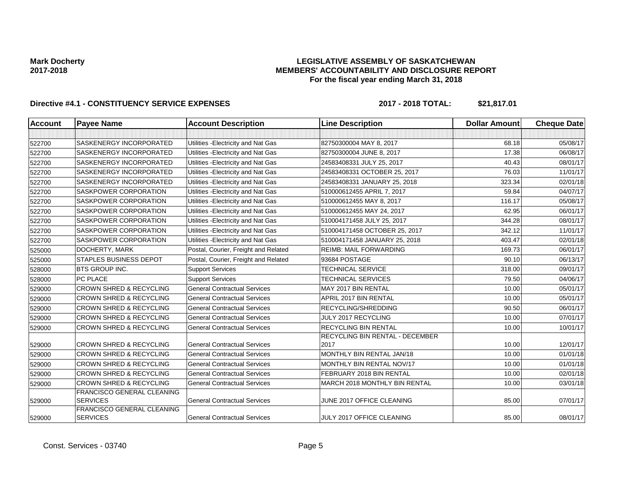## **LEGISLATIVE ASSEMBLY OF SASKATCHEWAN MEMBERS' ACCOUNTABILITY AND DISCLOSURE REPORT For the fiscal year ending March 31, 2018**

| <b>Account</b> | <b>Payee Name</b>                             | <b>Account Description</b>           | <b>Line Description</b>                 | <b>Dollar Amount</b> | <b>Cheque Date</b> |
|----------------|-----------------------------------------------|--------------------------------------|-----------------------------------------|----------------------|--------------------|
|                |                                               |                                      |                                         |                      |                    |
| 522700         | SASKENERGY INCORPORATED                       | Utilities - Electricity and Nat Gas  | 82750300004 MAY 8, 2017                 | 68.18                | 05/08/17           |
| 522700         | SASKENERGY INCORPORATED                       | Utilities - Electricity and Nat Gas  | 82750300004 JUNE 8, 2017                | 17.38                | 06/08/17           |
| 522700         | SASKENERGY INCORPORATED                       | Utilities - Electricity and Nat Gas  | 24583408331 JULY 25, 2017               | 40.43                | 08/01/17           |
| 522700         | SASKENERGY INCORPORATED                       | Utilities - Electricity and Nat Gas  | 24583408331 OCTOBER 25, 2017            | 76.03                | 11/01/17           |
| 522700         | SASKENERGY INCORPORATED                       | Utilities - Electricity and Nat Gas  | 24583408331 JANUARY 25, 2018            | 323.34               | 02/01/18           |
| 522700         | SASKPOWER CORPORATION                         | Utilities - Electricity and Nat Gas  | 510000612455 APRIL 7, 2017              | 59.84                | 04/07/17           |
| 522700         | SASKPOWER CORPORATION                         | Utilities - Electricity and Nat Gas  | 510000612455 MAY 8, 2017                | 116.17               | 05/08/17           |
| 522700         | SASKPOWER CORPORATION                         | Utilities - Electricity and Nat Gas  | 510000612455 MAY 24, 2017               | 62.95                | 06/01/17           |
| 522700         | SASKPOWER CORPORATION                         | Utilities - Electricity and Nat Gas  | 510004171458 JULY 25, 2017              | 344.28               | 08/01/17           |
| 522700         | SASKPOWER CORPORATION                         | Utilities - Electricity and Nat Gas  | 510004171458 OCTOBER 25, 2017           | 342.12               | 11/01/17           |
| 522700         | SASKPOWER CORPORATION                         | Utilities - Electricity and Nat Gas  | 510004171458 JANUARY 25, 2018           | 403.47               | 02/01/18           |
| 525000         | DOCHERTY, MARK                                | Postal, Courier, Freight and Related | <b>REIMB: MAIL FORWARDING</b>           | 169.73               | 06/01/17           |
| 525000         | <b>STAPLES BUSINESS DEPOT</b>                 | Postal, Courier, Freight and Related | 93684 POSTAGE                           | 90.10                | 06/13/17           |
| 528000         | <b>BTS GROUP INC.</b>                         | <b>Support Services</b>              | <b>TECHNICAL SERVICE</b>                | 318.00               | 09/01/17           |
| 528000         | PC PLACE                                      | <b>Support Services</b>              | <b>TECHNICAL SERVICES</b>               | 79.50                | 04/06/17           |
| 529000         | <b>CROWN SHRED &amp; RECYCLING</b>            | <b>General Contractual Services</b>  | MAY 2017 BIN RENTAL                     | 10.00                | 05/01/17           |
| 529000         | <b>CROWN SHRED &amp; RECYCLING</b>            | <b>General Contractual Services</b>  | APRIL 2017 BIN RENTAL                   | 10.00                | 05/01/17           |
| 529000         | CROWN SHRED & RECYCLING                       | <b>General Contractual Services</b>  | RECYCLING/SHREDDING                     | 90.50                | 06/01/17           |
| 529000         | <b>CROWN SHRED &amp; RECYCLING</b>            | <b>General Contractual Services</b>  | JULY 2017 RECYCLING                     | 10.00                | 07/01/17           |
| 529000         | <b>CROWN SHRED &amp; RECYCLING</b>            | <b>General Contractual Services</b>  | RECYCLING BIN RENTAL                    | 10.00                | 10/01/17           |
| 529000         | <b>CROWN SHRED &amp; RECYCLING</b>            | <b>General Contractual Services</b>  | RECYCLING BIN RENTAL - DECEMBER<br>2017 | 10.00                | 12/01/17           |
| 529000         | <b>CROWN SHRED &amp; RECYCLING</b>            | <b>General Contractual Services</b>  | MONTHLY BIN RENTAL JAN/18               | 10.00                | 01/01/18           |
| 529000         | <b>CROWN SHRED &amp; RECYCLING</b>            | <b>General Contractual Services</b>  | MONTHLY BIN RENTAL NOV/17               | 10.00                | 01/01/18           |
| 529000         | <b>CROWN SHRED &amp; RECYCLING</b>            | <b>General Contractual Services</b>  | FEBRUARY 2018 BIN RENTAL                | 10.00                | 02/01/18           |
| 529000         | <b>CROWN SHRED &amp; RECYCLING</b>            | <b>General Contractual Services</b>  | MARCH 2018 MONTHLY BIN RENTAL           | 10.00                | 03/01/18           |
| 529000         | FRANCISCO GENERAL CLEANING<br><b>SERVICES</b> | <b>General Contractual Services</b>  | JUNE 2017 OFFICE CLEANING               | 85.00                | 07/01/17           |
| 529000         | FRANCISCO GENERAL CLEANING<br><b>SERVICES</b> | <b>General Contractual Services</b>  | JULY 2017 OFFICE CLEANING               | 85.00                | 08/01/17           |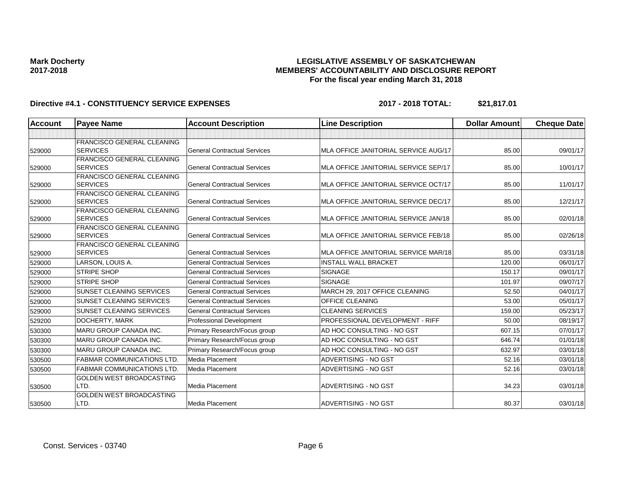## **LEGISLATIVE ASSEMBLY OF SASKATCHEWAN MEMBERS' ACCOUNTABILITY AND DISCLOSURE REPORT For the fiscal year ending March 31, 2018**

| <b>Account</b> | <b>Payee Name</b>                                    | <b>Account Description</b>          | <b>Line Description</b>              | <b>Dollar Amount</b> | <b>Cheque Date</b> |
|----------------|------------------------------------------------------|-------------------------------------|--------------------------------------|----------------------|--------------------|
|                |                                                      |                                     |                                      |                      |                    |
|                | <b>FRANCISCO GENERAL CLEANING</b>                    |                                     |                                      |                      |                    |
| 529000         | <b>SERVICES</b>                                      | <b>General Contractual Services</b> | MLA OFFICE JANITORIAL SERVICE AUG/17 | 85.00                | 09/01/17           |
|                | <b>FRANCISCO GENERAL CLEANING</b>                    |                                     |                                      |                      |                    |
| 529000         | <b>SERVICES</b>                                      | <b>General Contractual Services</b> | MLA OFFICE JANITORIAL SERVICE SEP/17 | 85.00                | 10/01/17           |
|                | <b>FRANCISCO GENERAL CLEANING</b>                    |                                     |                                      |                      |                    |
| 529000         | <b>SERVICES</b>                                      | <b>General Contractual Services</b> | MLA OFFICE JANITORIAL SERVICE OCT/17 | 85.00                | 11/01/17           |
|                | FRANCISCO GENERAL CLEANING                           |                                     |                                      |                      |                    |
| 529000         | <b>SERVICES</b>                                      | <b>General Contractual Services</b> | MLA OFFICE JANITORIAL SERVICE DEC/17 | 85.00                | 12/21/17           |
|                | <b>FRANCISCO GENERAL CLEANING</b><br><b>SERVICES</b> | <b>General Contractual Services</b> | MLA OFFICE JANITORIAL SERVICE JAN/18 | 85.00                | 02/01/18           |
| 529000         | <b>FRANCISCO GENERAL CLEANING</b>                    |                                     |                                      |                      |                    |
| 529000         | <b>SERVICES</b>                                      | <b>General Contractual Services</b> | MLA OFFICE JANITORIAL SERVICE FEB/18 | 85.00                | 02/26/18           |
|                | <b>FRANCISCO GENERAL CLEANING</b>                    |                                     |                                      |                      |                    |
| 529000         | <b>SERVICES</b>                                      | <b>General Contractual Services</b> | MLA OFFICE JANITORIAL SERVICE MAR/18 | 85.00                | 03/31/18           |
| 529000         | LARSON, LOUIS A.                                     | <b>General Contractual Services</b> | <b>INSTALL WALL BRACKET</b>          | 120.00               | 06/01/17           |
| 529000         | <b>STRIPE SHOP</b>                                   | <b>General Contractual Services</b> | <b>SIGNAGE</b>                       | 150.17               | 09/01/17           |
| 529000         | <b>STRIPE SHOP</b>                                   | <b>General Contractual Services</b> | <b>SIGNAGE</b>                       | 101.97               | 09/07/17           |
| 529000         | <b>SUNSET CLEANING SERVICES</b>                      | <b>General Contractual Services</b> | MARCH 29, 2017 OFFICE CLEANING       | 52.50                | 04/01/17           |
| 529000         | <b>SUNSET CLEANING SERVICES</b>                      | <b>General Contractual Services</b> | <b>OFFICE CLEANING</b>               | 53.00                | 05/01/17           |
| 529000         | <b>SUNSET CLEANING SERVICES</b>                      | <b>General Contractual Services</b> | <b>CLEANING SERVICES</b>             | 159.00               | 05/23/17           |
| 529200         | DOCHERTY, MARK                                       | Professional Development            | PROFESSIONAL DEVELOPMENT - RIFF      | 50.00                | 08/19/17           |
| 530300         | <b>MARU GROUP CANADA INC.</b>                        | Primary Research/Focus group        | AD HOC CONSULTING - NO GST           | 607.15               | 07/01/17           |
| 530300         | <b>MARU GROUP CANADA INC.</b>                        | Primary Research/Focus group        | AD HOC CONSULTING - NO GST           | 646.74               | 01/01/18           |
| 530300         | MARU GROUP CANADA INC.                               | Primary Research/Focus group        | AD HOC CONSULTING - NO GST           | 632.97               | 03/01/18           |
| 530500         | <b>FABMAR COMMUNICATIONS LTD.</b>                    | Media Placement                     | ADVERTISING - NO GST                 | 52.16                | 03/01/18           |
| 530500         | <b>FABMAR COMMUNICATIONS LTD.</b>                    | Media Placement                     | ADVERTISING - NO GST                 | 52.16                | 03/01/18           |
|                | <b>GOLDEN WEST BROADCASTING</b>                      |                                     |                                      |                      |                    |
| 530500         | LTD.                                                 | <b>Media Placement</b>              | ADVERTISING - NO GST                 | 34.23                | 03/01/18           |
|                | <b>GOLDEN WEST BROADCASTING</b>                      |                                     |                                      |                      |                    |
| 530500         | LTD.                                                 | Media Placement                     | ADVERTISING - NO GST                 | 80.37                | 03/01/18           |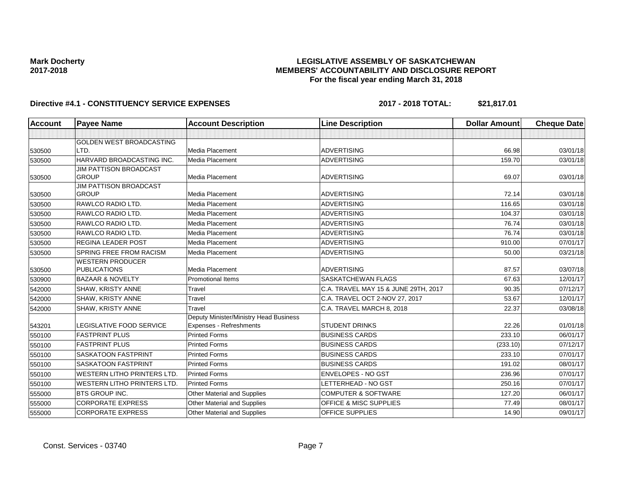## **LEGISLATIVE ASSEMBLY OF SASKATCHEWAN MEMBERS' ACCOUNTABILITY AND DISCLOSURE REPORT For the fiscal year ending March 31, 2018**

| Account | <b>Payee Name</b>                  | <b>Account Description</b>             | <b>Line Description</b>              | <b>Dollar Amount</b> | <b>Cheque Date</b> |
|---------|------------------------------------|----------------------------------------|--------------------------------------|----------------------|--------------------|
|         |                                    |                                        |                                      |                      |                    |
|         | GOLDEN WEST BROADCASTING           |                                        |                                      |                      |                    |
| 530500  | LTD.                               | Media Placement                        | <b>ADVERTISING</b>                   | 66.98                | 03/01/18           |
| 530500  | HARVARD BROADCASTING INC.          | Media Placement                        | <b>ADVERTISING</b>                   | 159.70               | 03/01/18           |
|         | <b>JIM PATTISON BROADCAST</b>      |                                        |                                      |                      |                    |
| 530500  | <b>GROUP</b>                       | Media Placement                        | <b>ADVERTISING</b>                   | 69.07                | 03/01/18           |
|         | <b>JIM PATTISON BROADCAST</b>      |                                        |                                      |                      |                    |
| 530500  | <b>GROUP</b>                       | <b>Media Placement</b>                 | <b>ADVERTISING</b>                   | 72.14                | 03/01/18           |
| 530500  | RAWLCO RADIO LTD.                  | Media Placement                        | <b>ADVERTISING</b>                   | 116.65               | 03/01/18           |
| 530500  | RAWLCO RADIO LTD.                  | Media Placement                        | <b>ADVERTISING</b>                   | 104.37               | 03/01/18           |
| 530500  | RAWLCO RADIO LTD.                  | Media Placement                        | <b>ADVERTISING</b>                   | 76.74                | 03/01/18           |
| 530500  | RAWLCO RADIO LTD.                  | <b>Media Placement</b>                 | <b>ADVERTISING</b>                   | 76.74                | 03/01/18           |
| 530500  | <b>REGINA LEADER POST</b>          | Media Placement                        | <b>ADVERTISING</b>                   | 910.00               | 07/01/17           |
| 530500  | <b>SPRING FREE FROM RACISM</b>     | <b>Media Placement</b>                 | <b>ADVERTISING</b>                   | 50.00                | 03/21/18           |
|         | <b>WESTERN PRODUCER</b>            |                                        |                                      |                      |                    |
| 530500  | <b>PUBLICATIONS</b>                | <b>Media Placement</b>                 | <b>ADVERTISING</b>                   | 87.57                | 03/07/18           |
| 530900  | <b>BAZAAR &amp; NOVELTY</b>        | <b>Promotional Items</b>               | <b>SASKATCHEWAN FLAGS</b>            | 67.63                | 12/01/17           |
| 542000  | SHAW, KRISTY ANNE                  | Travel                                 | C.A. TRAVEL MAY 15 & JUNE 29TH, 2017 | 90.35                | 07/12/17           |
| 542000  | <b>SHAW, KRISTY ANNE</b>           | Travel                                 | C.A. TRAVEL OCT 2-NOV 27, 2017       | 53.67                | 12/01/17           |
| 542000  | SHAW, KRISTY ANNE                  | Travel                                 | C.A. TRAVEL MARCH 8, 2018            | 22.37                | 03/08/18           |
|         |                                    | Deputy Minister/Ministry Head Business |                                      |                      |                    |
| 543201  | LEGISLATIVE FOOD SERVICE           | Expenses - Refreshments                | <b>STUDENT DRINKS</b>                | 22.26                | 01/01/18           |
| 550100  | <b>FASTPRINT PLUS</b>              | <b>Printed Forms</b>                   | <b>BUSINESS CARDS</b>                | 233.10               | 06/01/17           |
| 550100  | <b>FASTPRINT PLUS</b>              | <b>Printed Forms</b>                   | <b>BUSINESS CARDS</b>                | (233.10)             | 07/12/17           |
| 550100  | <b>SASKATOON FASTPRINT</b>         | <b>Printed Forms</b>                   | <b>BUSINESS CARDS</b>                | 233.10               | 07/01/17           |
| 550100  | <b>SASKATOON FASTPRINT</b>         | <b>Printed Forms</b>                   | <b>BUSINESS CARDS</b>                | 191.02               | 08/01/17           |
| 550100  | <b>WESTERN LITHO PRINTERS LTD.</b> | <b>Printed Forms</b>                   | ENVELOPES - NO GST                   | 236.96               | 07/01/17           |
| 550100  | <b>WESTERN LITHO PRINTERS LTD.</b> | <b>Printed Forms</b>                   | LETTERHEAD - NO GST                  | 250.16               | 07/01/17           |
| 555000  | <b>BTS GROUP INC.</b>              | Other Material and Supplies            | <b>COMPUTER &amp; SOFTWARE</b>       | 127.20               | 06/01/17           |
| 555000  | <b>CORPORATE EXPRESS</b>           | Other Material and Supplies            | <b>OFFICE &amp; MISC SUPPLIES</b>    | 77.49                | 08/01/17           |
| 555000  | <b>CORPORATE EXPRESS</b>           | Other Material and Supplies            | <b>OFFICE SUPPLIES</b>               | 14.90                | 09/01/17           |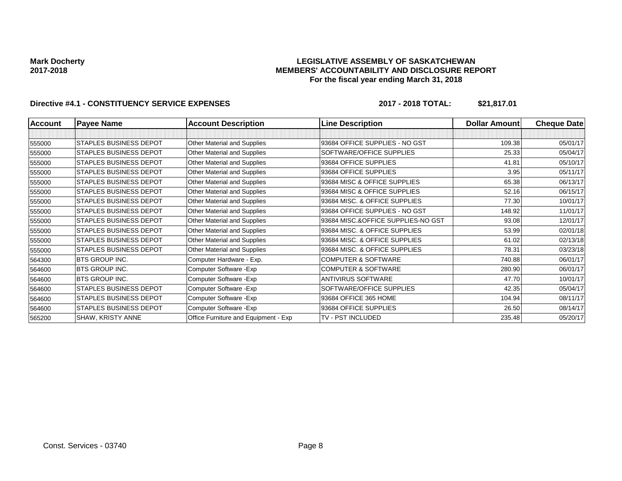### **LEGISLATIVE ASSEMBLY OF SASKATCHEWAN MEMBERS' ACCOUNTABILITY AND DISCLOSURE REPORT For the fiscal year ending March 31, 2018**

| <b>Account</b> | <b>Payee Name</b>             | <b>Account Description</b>           | <b>Line Description</b>            | Dollar Amount | <b>Cheque Date</b> |
|----------------|-------------------------------|--------------------------------------|------------------------------------|---------------|--------------------|
|                |                               |                                      |                                    |               |                    |
| 555000         | <b>STAPLES BUSINESS DEPOT</b> | Other Material and Supplies          | 93684 OFFICE SUPPLIES - NO GST     | 109.38        | 05/01/17           |
| 555000         | <b>STAPLES BUSINESS DEPOT</b> | Other Material and Supplies          | SOFTWARE/OFFICE SUPPLIES           | 25.33         | 05/04/17           |
| 555000         | <b>STAPLES BUSINESS DEPOT</b> | Other Material and Supplies          | 93684 OFFICE SUPPLIES              | 41.81         | 05/10/17           |
| 555000         | <b>STAPLES BUSINESS DEPOT</b> | Other Material and Supplies          | 93684 OFFICE SUPPLIES              | 3.95          | 05/11/17           |
| 555000         | <b>STAPLES BUSINESS DEPOT</b> | Other Material and Supplies          | 93684 MISC & OFFICE SUPPLIES       | 65.38         | 06/13/17           |
| 555000         | <b>STAPLES BUSINESS DEPOT</b> | Other Material and Supplies          | 93684 MISC & OFFICE SUPPLIES       | 52.16         | 06/15/17           |
| 555000         | <b>STAPLES BUSINESS DEPOT</b> | Other Material and Supplies          | 93684 MISC. & OFFICE SUPPLIES      | 77.30         | 10/01/17           |
| 555000         | <b>STAPLES BUSINESS DEPOT</b> | Other Material and Supplies          | 93684 OFFICE SUPPLIES - NO GST     | 148.92        | 11/01/17           |
| 555000         | <b>STAPLES BUSINESS DEPOT</b> | Other Material and Supplies          | 93684 MISC.&OFFICE SUPPLIES-NO GST | 93.08         | 12/01/17           |
| 555000         | <b>STAPLES BUSINESS DEPOT</b> | Other Material and Supplies          | 93684 MISC. & OFFICE SUPPLIES      | 53.99         | 02/01/18           |
| 555000         | STAPLES BUSINESS DEPOT        | Other Material and Supplies          | 93684 MISC. & OFFICE SUPPLIES      | 61.02         | 02/13/18           |
| 555000         | STAPLES BUSINESS DEPOT        | Other Material and Supplies          | 93684 MISC. & OFFICE SUPPLIES      | 78.31         | 03/23/18           |
| 564300         | <b>BTS GROUP INC.</b>         | Computer Hardware - Exp.             | <b>COMPUTER &amp; SOFTWARE</b>     | 740.88        | 06/01/17           |
| 564600         | <b>BTS GROUP INC.</b>         | Computer Software - Exp              | <b>COMPUTER &amp; SOFTWARE</b>     | 280.90        | 06/01/17           |
| 564600         | <b>BTS GROUP INC.</b>         | Computer Software - Exp              | ANTIVIRUS SOFTWARE                 | 47.70         | 10/01/17           |
| 564600         | STAPLES BUSINESS DEPOT        | Computer Software - Exp              | SOFTWARE/OFFICE SUPPLIES           | 42.35         | 05/04/17           |
| 564600         | STAPLES BUSINESS DEPOT        | Computer Software - Exp              | 93684 OFFICE 365 HOME              | 104.94        | 08/11/17           |
| 564600         | STAPLES BUSINESS DEPOT        | Computer Software - Exp              | 93684 OFFICE SUPPLIES              | 26.50         | 08/14/17           |
| 565200         | SHAW, KRISTY ANNE             | Office Furniture and Equipment - Exp | TV - PST INCLUDED                  | 235.48        | 05/20/17           |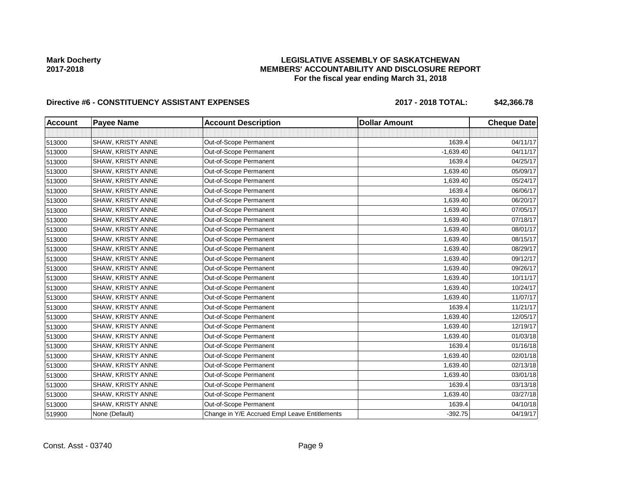## **LEGISLATIVE ASSEMBLY OF SASKATCHEWAN MEMBERS' ACCOUNTABILITY AND DISCLOSURE REPORT For the fiscal year ending March 31, 2018**

# Directive #6 - CONSTITUENCY ASSISTANT EXPENSES 2017 - 2018 TOTAL: \$42,366.78

| <b>Account</b> | <b>Payee Name</b>        | <b>Account Description</b>                    | <b>Dollar Amount</b> | <b>Cheque Date</b> |
|----------------|--------------------------|-----------------------------------------------|----------------------|--------------------|
|                |                          |                                               |                      |                    |
| 513000         | <b>SHAW, KRISTY ANNE</b> | Out-of-Scope Permanent                        | 1639.4               | 04/11/17           |
| 513000         | SHAW, KRISTY ANNE        | Out-of-Scope Permanent                        | $-1,639.40$          | 04/11/17           |
| 513000         | SHAW, KRISTY ANNE        | Out-of-Scope Permanent                        | 1639.4               | 04/25/17           |
| 513000         | SHAW, KRISTY ANNE        | Out-of-Scope Permanent                        | 1,639.40             | 05/09/17           |
| 513000         | SHAW, KRISTY ANNE        | Out-of-Scope Permanent                        | 1,639.40             | 05/24/17           |
| 513000         | <b>SHAW, KRISTY ANNE</b> | Out-of-Scope Permanent                        | 1639.4               | 06/06/17           |
| 513000         | SHAW, KRISTY ANNE        | Out-of-Scope Permanent                        | 1,639.40             | 06/20/17           |
| 513000         | SHAW, KRISTY ANNE        | Out-of-Scope Permanent                        | 1,639.40             | 07/05/17           |
| 513000         | SHAW, KRISTY ANNE        | Out-of-Scope Permanent                        | 1,639.40             | 07/18/17           |
| 513000         | SHAW, KRISTY ANNE        | Out-of-Scope Permanent                        | 1,639.40             | 08/01/17           |
| 513000         | SHAW, KRISTY ANNE        | Out-of-Scope Permanent                        | 1,639.40             | 08/15/17           |
| 513000         | SHAW, KRISTY ANNE        | Out-of-Scope Permanent                        | 1,639.40             | 08/29/17           |
| 513000         | SHAW, KRISTY ANNE        | Out-of-Scope Permanent                        | 1,639.40             | 09/12/17           |
| 513000         | <b>SHAW, KRISTY ANNE</b> | Out-of-Scope Permanent                        | 1,639.40             | 09/26/17           |
| 513000         | SHAW, KRISTY ANNE        | Out-of-Scope Permanent                        | 1,639.40             | 10/11/17           |
| 513000         | <b>SHAW, KRISTY ANNE</b> | Out-of-Scope Permanent                        | 1,639.40             | 10/24/17           |
| 513000         | <b>SHAW, KRISTY ANNE</b> | Out-of-Scope Permanent                        | 1,639.40             | 11/07/17           |
| 513000         | SHAW, KRISTY ANNE        | Out-of-Scope Permanent                        | 1639.4               | 11/21/17           |
| 513000         | SHAW, KRISTY ANNE        | Out-of-Scope Permanent                        | 1,639.40             | 12/05/17           |
| 513000         | SHAW, KRISTY ANNE        | Out-of-Scope Permanent                        | 1,639.40             | 12/19/17           |
| 513000         | <b>SHAW, KRISTY ANNE</b> | Out-of-Scope Permanent                        | 1,639.40             | 01/03/18           |
| 513000         | <b>SHAW, KRISTY ANNE</b> | Out-of-Scope Permanent                        | 1639.4               | 01/16/18           |
| 513000         | SHAW, KRISTY ANNE        | Out-of-Scope Permanent                        | 1,639.40             | 02/01/18           |
| 513000         | <b>SHAW, KRISTY ANNE</b> | Out-of-Scope Permanent                        | 1,639.40             | 02/13/18           |
| 513000         | SHAW, KRISTY ANNE        | Out-of-Scope Permanent                        | 1,639.40             | 03/01/18           |
| 513000         | SHAW, KRISTY ANNE        | Out-of-Scope Permanent                        | 1639.4               | 03/13/18           |
| 513000         | SHAW, KRISTY ANNE        | Out-of-Scope Permanent                        | 1,639.40             | 03/27/18           |
| 513000         | SHAW, KRISTY ANNE        | Out-of-Scope Permanent                        | 1639.4               | 04/10/18           |
| 519900         | None (Default)           | Change in Y/E Accrued Empl Leave Entitlements | $-392.75$            | 04/19/17           |